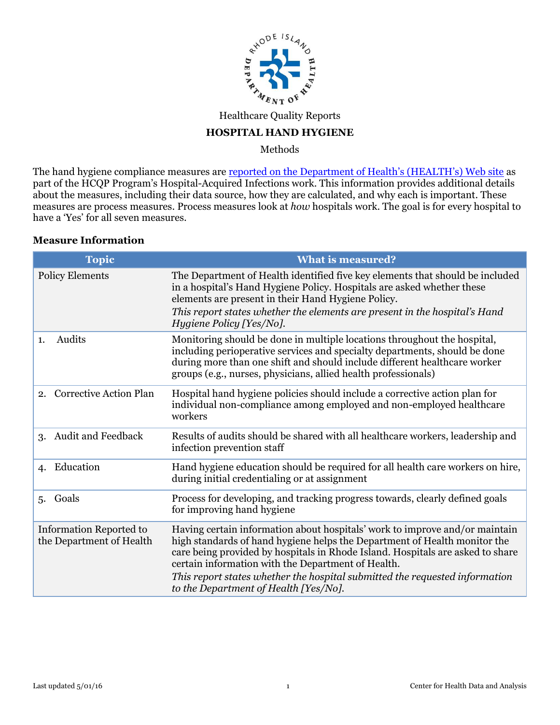

## Healthcare Quality Reports

#### **HOSPITAL HAND HYGIENE**

Methods

The hand hygiene compliance measures are [reported on the Department of Health's \(HEALTH's\) Web site](http://health.ri.gov/hospitals/about/quality/) as part of the HCQP Program's Hospital-Acquired Infections work. This information provides additional details about the measures, including their data source, how they are calculated, and why each is important. These measures are process measures. Process measures look at *how* hospitals work. The goal is for every hospital to have a 'Yes' for all seven measures.

#### **Measure Information**

| <b>Topic</b>                                        | <b>What is measured?</b>                                                                                                                                                                                                                                                                                                                                                                                                 |
|-----------------------------------------------------|--------------------------------------------------------------------------------------------------------------------------------------------------------------------------------------------------------------------------------------------------------------------------------------------------------------------------------------------------------------------------------------------------------------------------|
| <b>Policy Elements</b>                              | The Department of Health identified five key elements that should be included<br>in a hospital's Hand Hygiene Policy. Hospitals are asked whether these<br>elements are present in their Hand Hygiene Policy.<br>This report states whether the elements are present in the hospital's Hand                                                                                                                              |
|                                                     | <i>Hygiene Policy [Yes/No].</i>                                                                                                                                                                                                                                                                                                                                                                                          |
| Audits<br>1.                                        | Monitoring should be done in multiple locations throughout the hospital,<br>including perioperative services and specialty departments, should be done<br>during more than one shift and should include different healthcare worker<br>groups (e.g., nurses, physicians, allied health professionals)                                                                                                                    |
| <b>Corrective Action Plan</b><br>2.                 | Hospital hand hygiene policies should include a corrective action plan for<br>individual non-compliance among employed and non-employed healthcare<br>workers                                                                                                                                                                                                                                                            |
| Audit and Feedback<br>3.                            | Results of audits should be shared with all healthcare workers, leadership and<br>infection prevention staff                                                                                                                                                                                                                                                                                                             |
| Education<br>4.                                     | Hand hygiene education should be required for all health care workers on hire,<br>during initial credentialing or at assignment                                                                                                                                                                                                                                                                                          |
| Goals<br>5.                                         | Process for developing, and tracking progress towards, clearly defined goals<br>for improving hand hygiene                                                                                                                                                                                                                                                                                                               |
| Information Reported to<br>the Department of Health | Having certain information about hospitals' work to improve and/or maintain<br>high standards of hand hygiene helps the Department of Health monitor the<br>care being provided by hospitals in Rhode Island. Hospitals are asked to share<br>certain information with the Department of Health.<br>This report states whether the hospital submitted the requested information<br>to the Department of Health [Yes/No]. |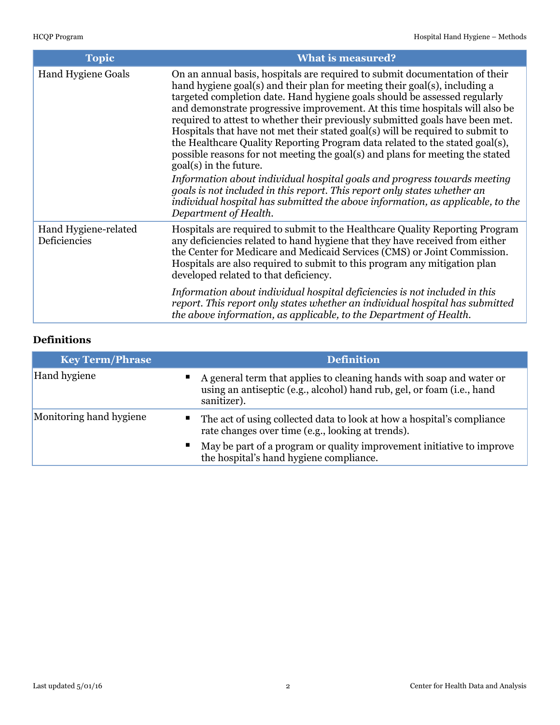| Topic                                | <b>What is measured?</b>                                                                                                                                                                                                                                                                                                                                                                                                                                                                                                                                                                                                                                                                                                                                                                                                                                                                                                                                |
|--------------------------------------|---------------------------------------------------------------------------------------------------------------------------------------------------------------------------------------------------------------------------------------------------------------------------------------------------------------------------------------------------------------------------------------------------------------------------------------------------------------------------------------------------------------------------------------------------------------------------------------------------------------------------------------------------------------------------------------------------------------------------------------------------------------------------------------------------------------------------------------------------------------------------------------------------------------------------------------------------------|
| <b>Hand Hygiene Goals</b>            | On an annual basis, hospitals are required to submit documentation of their<br>hand hygiene goal(s) and their plan for meeting their goal(s), including a<br>targeted completion date. Hand hygiene goals should be assessed regularly<br>and demonstrate progressive improvement. At this time hospitals will also be<br>required to attest to whether their previously submitted goals have been met.<br>Hospitals that have not met their stated goal(s) will be required to submit to<br>the Healthcare Quality Reporting Program data related to the stated goal(s),<br>possible reasons for not meeting the goal(s) and plans for meeting the stated<br>goal(s) in the future.<br>Information about individual hospital goals and progress towards meeting<br>goals is not included in this report. This report only states whether an<br>individual hospital has submitted the above information, as applicable, to the<br>Department of Health. |
| Hand Hygiene-related<br>Deficiencies | Hospitals are required to submit to the Healthcare Quality Reporting Program<br>any deficiencies related to hand hygiene that they have received from either<br>the Center for Medicare and Medicaid Services (CMS) or Joint Commission.<br>Hospitals are also required to submit to this program any mitigation plan<br>developed related to that deficiency.<br>Information about individual hospital deficiencies is not included in this                                                                                                                                                                                                                                                                                                                                                                                                                                                                                                            |
|                                      | report. This report only states whether an individual hospital has submitted<br>the above information, as applicable, to the Department of Health.                                                                                                                                                                                                                                                                                                                                                                                                                                                                                                                                                                                                                                                                                                                                                                                                      |

# **Definitions**

| <b>Key Term/Phrase</b>  | <b>Definition</b>                                                                                                                                               |  |
|-------------------------|-----------------------------------------------------------------------------------------------------------------------------------------------------------------|--|
| <b>Hand hygiene</b>     | • A general term that applies to cleaning hands with soap and water or<br>using an antiseptic (e.g., alcohol) hand rub, gel, or foam (i.e., hand<br>sanitizer). |  |
| Monitoring hand hygiene | • The act of using collected data to look at how a hospital's compliance<br>rate changes over time (e.g., looking at trends).                                   |  |
|                         | • May be part of a program or quality improvement initiative to improve<br>the hospital's hand hygiene compliance.                                              |  |